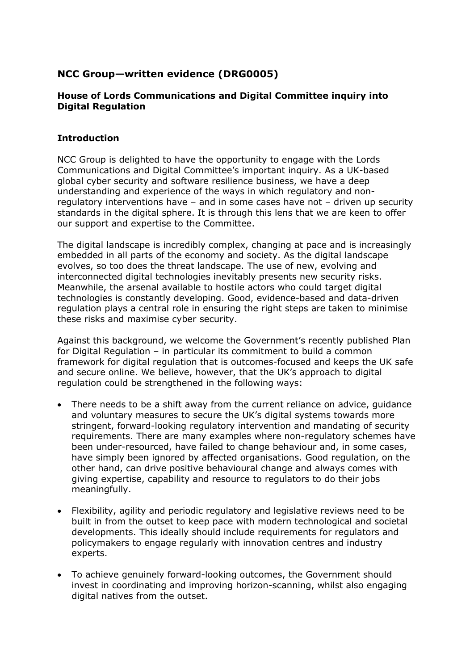# **NCC Group—written evidence (DRG0005)**

## **House of Lords Communications and Digital Committee inquiry into Digital Regulation**

#### **Introduction**

NCC Group is delighted to have the opportunity to engage with the Lords Communications and Digital Committee's important inquiry. As a UK-based global cyber security and software resilience business, we have a deep understanding and experience of the ways in which regulatory and nonregulatory interventions have – and in some cases have not – driven up security standards in the digital sphere. It is through this lens that we are keen to offer our support and expertise to the Committee.

The digital landscape is incredibly complex, changing at pace and is increasingly embedded in all parts of the economy and society. As the digital landscape evolves, so too does the threat landscape. The use of new, evolving and interconnected digital technologies inevitably presents new security risks. Meanwhile, the arsenal available to hostile actors who could target digital technologies is constantly developing. Good, evidence-based and data-driven regulation plays a central role in ensuring the right steps are taken to minimise these risks and maximise cyber security.

Against this background, we welcome the Government's recently published Plan for Digital Regulation – in particular its commitment to build a common framework for digital regulation that is outcomes-focused and keeps the UK safe and secure online. We believe, however, that the UK's approach to digital regulation could be strengthened in the following ways:

- There needs to be a shift away from the current reliance on advice, guidance and voluntary measures to secure the UK's digital systems towards more stringent, forward-looking regulatory intervention and mandating of security requirements. There are many examples where non-regulatory schemes have been under-resourced, have failed to change behaviour and, in some cases, have simply been ignored by affected organisations. Good regulation, on the other hand, can drive positive behavioural change and always comes with giving expertise, capability and resource to regulators to do their jobs meaningfully.
- Flexibility, agility and periodic regulatory and legislative reviews need to be built in from the outset to keep pace with modern technological and societal developments. This ideally should include requirements for regulators and policymakers to engage regularly with innovation centres and industry experts.
- To achieve genuinely forward-looking outcomes, the Government should invest in coordinating and improving horizon-scanning, whilst also engaging digital natives from the outset.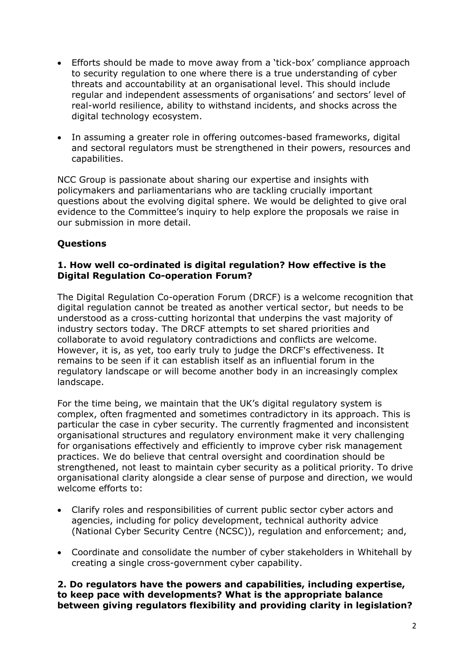- Efforts should be made to move away from a 'tick-box' compliance approach to security regulation to one where there is a true understanding of cyber threats and accountability at an organisational level. This should include regular and independent assessments of organisations' and sectors' level of real-world resilience, ability to withstand incidents, and shocks across the digital technology ecosystem.
- In assuming a greater role in offering outcomes-based frameworks, digital and sectoral regulators must be strengthened in their powers, resources and capabilities.

NCC Group is passionate about sharing our expertise and insights with policymakers and parliamentarians who are tackling crucially important questions about the evolving digital sphere. We would be delighted to give oral evidence to the Committee's inquiry to help explore the proposals we raise in our submission in more detail.

## **Questions**

#### **1. How well co-ordinated is digital regulation? How effective is the Digital Regulation Co-operation Forum?**

The Digital Regulation Co-operation Forum (DRCF) is a welcome recognition that digital regulation cannot be treated as another vertical sector, but needs to be understood as a cross-cutting horizontal that underpins the vast majority of industry sectors today. The DRCF attempts to set shared priorities and collaborate to avoid regulatory contradictions and conflicts are welcome. However, it is, as yet, too early truly to judge the DRCF's effectiveness. It remains to be seen if it can establish itself as an influential forum in the regulatory landscape or will become another body in an increasingly complex landscape.

For the time being, we maintain that the UK's digital regulatory system is complex, often fragmented and sometimes contradictory in its approach. This is particular the case in cyber security. The currently fragmented and inconsistent organisational structures and regulatory environment make it very challenging for organisations effectively and efficiently to improve cyber risk management practices. We do believe that central oversight and coordination should be strengthened, not least to maintain cyber security as a political priority. To drive organisational clarity alongside a clear sense of purpose and direction, we would welcome efforts to:

- Clarify roles and responsibilities of current public sector cyber actors and agencies, including for policy development, technical authority advice (National Cyber Security Centre (NCSC)), regulation and enforcement; and,
- Coordinate and consolidate the number of cyber stakeholders in Whitehall by creating a single cross-government cyber capability.

**2. Do regulators have the powers and capabilities, including expertise, to keep pace with developments? What is the appropriate balance between giving regulators flexibility and providing clarity in legislation?**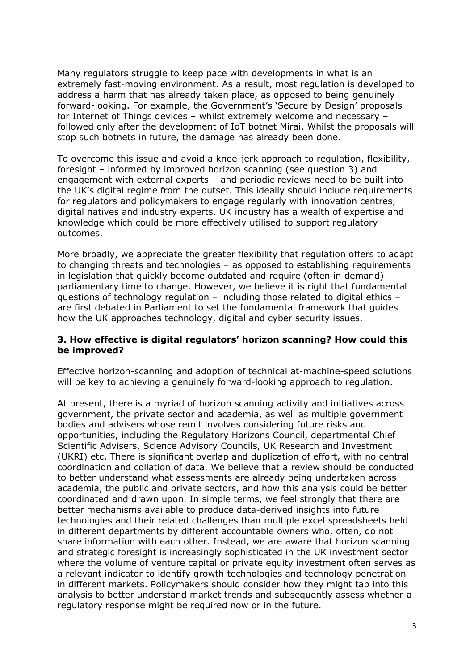Many regulators struggle to keep pace with developments in what is an extremely fast-moving environment. As a result, most regulation is developed to address a harm that has already taken place, as opposed to being genuinely forward-looking. For example, the Government's 'Secure by Design' proposals for Internet of Things devices – whilst extremely welcome and necessary – followed only after the development of IoT botnet Mirai. Whilst the proposals will stop such botnets in future, the damage has already been done.

To overcome this issue and avoid a knee-jerk approach to regulation, flexibility, foresight – informed by improved horizon scanning (see question 3) and engagement with external experts – and periodic reviews need to be built into the UK's digital regime from the outset. This ideally should include requirements for regulators and policymakers to engage regularly with innovation centres, digital natives and industry experts. UK industry has a wealth of expertise and knowledge which could be more effectively utilised to support regulatory outcomes.

More broadly, we appreciate the greater flexibility that regulation offers to adapt to changing threats and technologies – as opposed to establishing requirements in legislation that quickly become outdated and require (often in demand) parliamentary time to change. However, we believe it is right that fundamental questions of technology regulation – including those related to digital ethics – are first debated in Parliament to set the fundamental framework that guides how the UK approaches technology, digital and cyber security issues.

#### **3. How effective is digital regulators' horizon scanning? How could this be improved?**

Effective horizon-scanning and adoption of technical at-machine-speed solutions will be key to achieving a genuinely forward-looking approach to regulation.

At present, there is a myriad of horizon scanning activity and initiatives across government, the private sector and academia, as well as multiple government bodies and advisers whose remit involves considering future risks and opportunities, including the Regulatory Horizons Council, departmental Chief Scientific Advisers, Science Advisory Councils, UK Research and Investment (UKRI) etc. There is significant overlap and duplication of effort, with no central coordination and collation of data. We believe that a review should be conducted to better understand what assessments are already being undertaken across academia, the public and private sectors, and how this analysis could be better coordinated and drawn upon. In simple terms, we feel strongly that there are better mechanisms available to produce data-derived insights into future technologies and their related challenges than multiple excel spreadsheets held in different departments by different accountable owners who, often, do not share information with each other. Instead, we are aware that horizon scanning and strategic foresight is increasingly sophisticated in the UK investment sector where the volume of venture capital or private equity investment often serves as a relevant indicator to identify growth technologies and technology penetration in different markets. Policymakers should consider how they might tap into this analysis to better understand market trends and subsequently assess whether a regulatory response might be required now or in the future.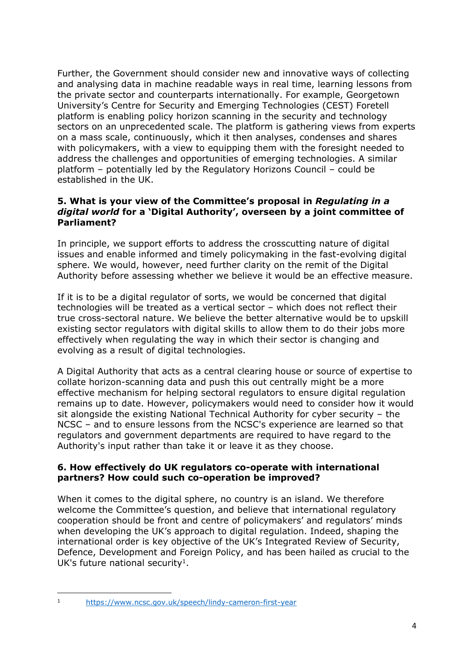Further, the Government should consider new and innovative ways of collecting and analysing data in machine readable ways in real time, learning lessons from the private sector and counterparts internationally. For example, Georgetown University's Centre for Security and Emerging Technologies (CEST) Foretell platform is enabling policy horizon scanning in the security and technology sectors on an unprecedented scale. The platform is gathering views from experts on a mass scale, continuously, which it then analyses, condenses and shares with policymakers, with a view to equipping them with the foresight needed to address the challenges and opportunities of emerging technologies. A similar platform – potentially led by the Regulatory Horizons Council – could be established in the UK.

#### **5. What is your view of the Committee's proposal in** *Regulating in a digital world* **for a 'Digital Authority', overseen by a joint committee of Parliament?**

In principle, we support efforts to address the crosscutting nature of digital issues and enable informed and timely policymaking in the fast-evolving digital sphere. We would, however, need further clarity on the remit of the Digital Authority before assessing whether we believe it would be an effective measure.

If it is to be a digital regulator of sorts, we would be concerned that digital technologies will be treated as a vertical sector – which does not reflect their true cross-sectoral nature. We believe the better alternative would be to upskill existing sector regulators with digital skills to allow them to do their jobs more effectively when regulating the way in which their sector is changing and evolving as a result of digital technologies.

A Digital Authority that acts as a central clearing house or source of expertise to collate horizon-scanning data and push this out centrally might be a more effective mechanism for helping sectoral regulators to ensure digital regulation remains up to date. However, policymakers would need to consider how it would sit alongside the existing National Technical Authority for cyber security – the NCSC – and to ensure lessons from the NCSC's experience are learned so that regulators and government departments are required to have regard to the Authority's input rather than take it or leave it as they choose.

## **6. How effectively do UK regulators co-operate with international partners? How could such co-operation be improved?**

When it comes to the digital sphere, no country is an island. We therefore welcome the Committee's question, and believe that international regulatory cooperation should be front and centre of policymakers' and regulators' minds when developing the UK's approach to digital regulation. Indeed, shaping the international order is key objective of the UK's Integrated Review of Security, Defence, Development and Foreign Policy, and has been hailed as crucial to the UK's future national security<sup>1</sup>.

<sup>1</sup> <https://www.ncsc.gov.uk/speech/lindy-cameron-first-year>